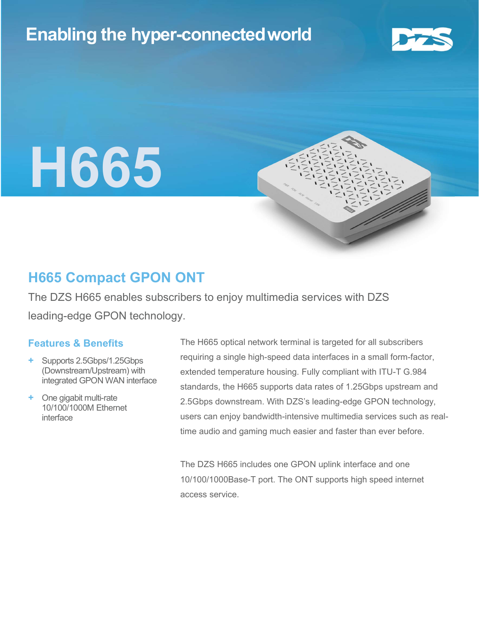# Enabling the hyper-connectedworld



# H665



### H665 Compact GPON ONT

The DZS H665 enables subscribers to enjoy multimedia services with DZS leading-edge GPON technology.

#### Features & Benefits

- + Supports 2.5Gbps/1.25Gbps (Downstream/Upstream) with integrated GPON WAN interface
- + One gigabit multi-rate 10/100/1000M Ethernet interface

The H665 optical network terminal is targeted for all subscribers requiring a single high-speed data interfaces in a small form-factor, extended temperature housing. Fully compliant with ITU-T G.984 standards, the H665 supports data rates of 1.25Gbps upstream and 2.5Gbps downstream. With DZS's leading-edge GPON technology, users can enjoy bandwidth-intensive multimedia services such as realtime audio and gaming much easier and faster than ever before.

The DZS H665 includes one GPON uplink interface and one 10/100/1000Base-T port. The ONT supports high speed internet access service.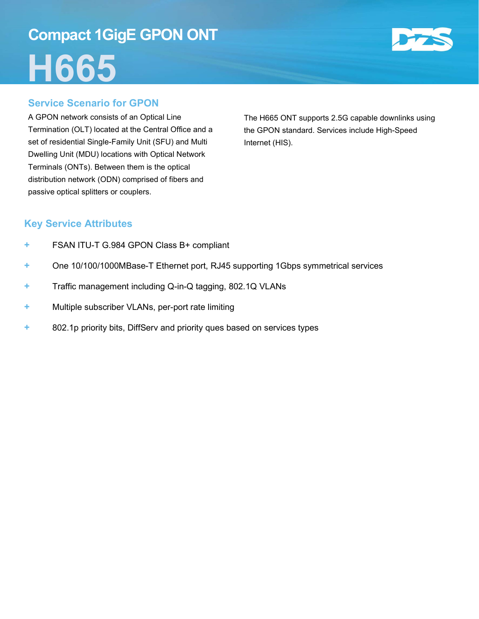# Compact 1GigE GPON ONT H665



A GPON network consists of an Optical Line Termination (OLT) located at the Central Office and a set of residential Single-Family Unit (SFU) and Multi Dwelling Unit (MDU) locations with Optical Network Terminals (ONTs). Between them is the optical distribution network (ODN) comprised of fibers and passive optical splitters or couplers.

The H665 ONT supports 2.5G capable downlinks using the GPON standard. Services include High-Speed Internet (HIS).

#### Key Service Attributes

- + FSAN ITU-T G.984 GPON Class B+ compliant
- + One 10/100/1000MBase-T Ethernet port, RJ45 supporting 1Gbps symmetrical services
- + Traffic management including Q-in-Q tagging, 802.1Q VLANs
- + Multiple subscriber VLANs, per-port rate limiting
- + 802.1p priority bits, DiffServ and priority ques based on services types

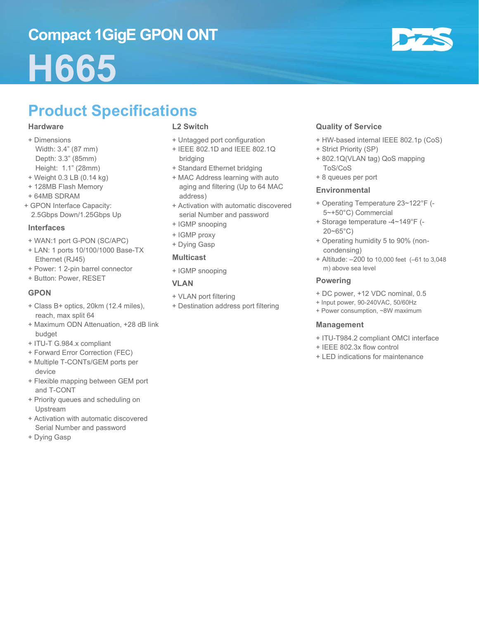### Compact 1GigE GPON ONT

# H665



# Product Specifications

#### **Hardware**

- + Dimensions Width: 3.4" (87 mm) Depth: 3.3" (85mm) Height: 1.1" (28mm)
- + Weight 0.3 LB (0.14 kg)
- + 128MB Flash Memory
- + 64MB SDRAM
- + GPON Interface Capacity: 2.5Gbps Down/1.25Gbps Up

#### Interfaces

- + WAN:1 port G-PON (SC/APC)
- + LAN: 1 ports 10/100/1000 Base-TX Ethernet (RJ45)
- + Power: 1 2-pin barrel connector
- + Button: Power, RESET

#### GPON

- + Class B+ optics, 20km (12.4 miles), reach, max split 64
- + Maximum ODN Attenuation, +28 dB link budget
- + ITU-T G.984.x compliant
- + Forward Error Correction (FEC)
- + Multiple T-CONTs/GEM ports per device
- + Flexible mapping between GEM port and T-CONT
- + Priority queues and scheduling on Upstream
- + Activation with automatic discovered Serial Number and password
- + Dying Gasp

#### L2 Switch

- + Untagged port configuration
- + IEEE 802.1D and IEEE 802.1Q bridging
- + Standard Ethernet bridging
- + MAC Address learning with auto aging and filtering (Up to 64 MAC address)
- + Activation with automatic discovered serial Number and password
- + IGMP snooping
- + IGMP proxy
- + Dying Gasp

#### Multicast

+ IGMP snooping

#### VLAN

- + VLAN port filtering
- + Destination address port filtering

#### Quality of Service

- + HW-based internal IEEE 802.1p (CoS)
- + Strict Priority (SP)
- + 802.1Q(VLAN tag) QoS mapping ToS/CoS
- + 8 queues per port

#### **Environmental**

- + Operating Temperature 23~122°F (- 5~+50°C) Commercial
- + Storage temperature -4~149°F (- 20~65°C)
- + Operating humidity 5 to 90% (noncondensing)
- + Altitude: –200 to 10,000 feet (–61 to 3,048 m) above sea level

#### Powering

- + DC power, +12 VDC nominal, 0.5
- + Input power, 90-240VAC, 50/60Hz
- + Power consumption, ~8W maximum

#### Management

- + ITU-T984.2 compliant OMCI interface
- + IEEE 802.3x flow control
- + LED indications for maintenance